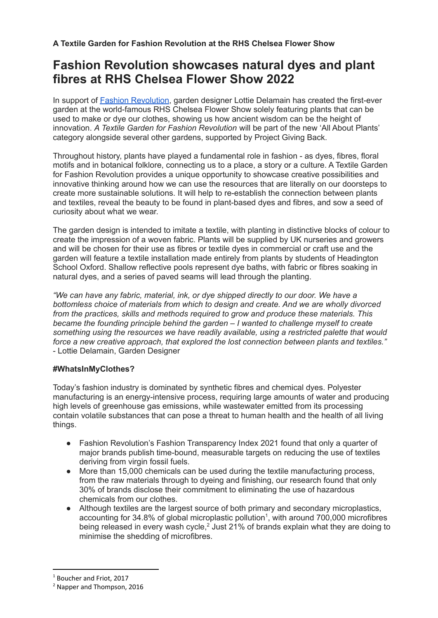# **Fashion Revolution showcases natural dyes and plant fibres at RHS Chelsea Flower Show 2022**

In support of **Fashion [Revolution](https://www.fashionrevolution.org/)**, garden designer Lottie Delamain has created the first-ever garden at the world-famous RHS Chelsea Flower Show solely featuring plants that can be used to make or dye our clothes, showing us how ancient wisdom can be the height of innovation. *A Textile Garden for Fashion Revolution* will be part of the new 'All About Plants' category alongside several other gardens, supported by Project Giving Back.

Throughout history, plants have played a fundamental role in fashion - as dyes, fibres, floral motifs and in botanical folklore, connecting us to a place, a story or a culture. A Textile Garden for Fashion Revolution provides a unique opportunity to showcase creative possibilities and innovative thinking around how we can use the resources that are literally on our doorsteps to create more sustainable solutions. It will help to re-establish the connection between plants and textiles, reveal the beauty to be found in plant-based dyes and fibres, and sow a seed of curiosity about what we wear.

The garden design is intended to imitate a textile, with planting in distinctive blocks of colour to create the impression of a woven fabric. Plants will be supplied by UK nurseries and growers and will be chosen for their use as fibres or textile dyes in commercial or craft use and the garden will feature a textile installation made entirely from plants by students of Headington School Oxford. Shallow reflective pools represent dye baths, with fabric or fibres soaking in natural dyes, and a series of paved seams will lead through the planting.

*"We can have any fabric, material, ink, or dye shipped directly to our door. We have a bottomless choice of materials from which to design and create. And we are wholly divorced from the practices, skills and methods required to grow and produce these materials. This became the founding principle behind the garden – I wanted to challenge myself to create something using the resources we have readily available, using a restricted palette that would force a new creative approach, that explored the lost connection between plants and textiles."* - Lottie Delamain, Garden Designer

## **#WhatsInMyClothes?**

Today's fashion industry is dominated by synthetic fibres and chemical dyes. Polyester manufacturing is an energy-intensive process, requiring large amounts of water and producing high levels of greenhouse gas emissions, while wastewater emitted from its processing contain volatile substances that can pose a threat to human health and the health of all living things.

- Fashion Revolution's Fashion Transparency Index 2021 found that only a quarter of major brands publish time-bound, measurable targets on reducing the use of textiles deriving from virgin fossil fuels.
- More than 15,000 chemicals can be used during the textile manufacturing process, from the raw materials through to dyeing and finishing, our research found that only 30% of brands disclose their commitment to eliminating the use of hazardous chemicals from our clothes.
- Although textiles are the largest source of both primary and secondary microplastics, accounting for 34.8% of global microplastic pollution<sup>1</sup>, with around 700,000 microfibres being released in every wash cycle,<sup>2</sup> Just 21% of brands explain what they are doing to minimise the shedding of microfibres.

<sup>1</sup> Boucher and Friot, 2017

<sup>2</sup> Napper and Thompson, 2016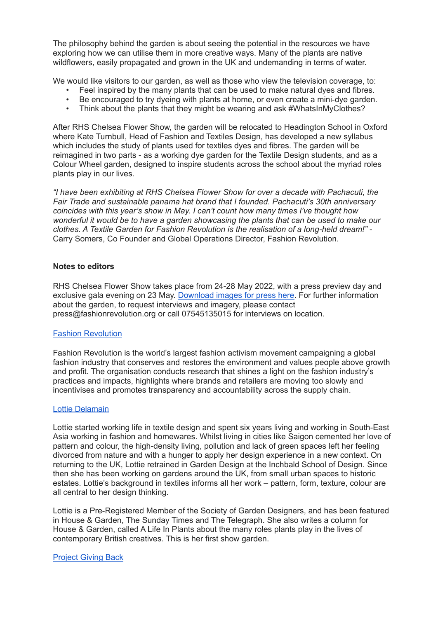The philosophy behind the garden is about seeing the potential in the resources we have exploring how we can utilise them in more creative ways. Many of the plants are native wildflowers, easily propagated and grown in the UK and undemanding in terms of water.

We would like visitors to our garden, as well as those who view the television coverage, to:

- Feel inspired by the many plants that can be used to make natural dyes and fibres.
- Be encouraged to try dyeing with plants at home, or even create a mini-dye garden.
- Think about the plants that they might be wearing and ask #WhatsInMyClothes?

After RHS Chelsea Flower Show, the garden will be relocated to Headington School in Oxford where Kate Turnbull, Head of Fashion and Textiles Design, has developed a new syllabus which includes the study of plants used for textiles dyes and fibres. The garden will be reimagined in two parts - as a working dye garden for the Textile Design students, and as a Colour Wheel garden, designed to inspire students across the school about the myriad roles plants play in our lives.

*"I have been exhibiting at RHS Chelsea Flower Show for over a decade with Pachacuti, the Fair Trade and sustainable panama hat brand that I founded. Pachacuti's 30th anniversary coincides with this year's show in May. I can't count how many times I've thought how wonderful it would be to have a garden showcasing the plants that can be used to make our clothes. A Textile Garden for Fashion Revolution is the realisation of a long-held dream!" -* Carry Somers, Co Founder and Global Operations Director, Fashion Revolution.

## **Notes to editors**

RHS Chelsea Flower Show takes place from 24-28 May 2022, with a press preview day and exclusive gala evening on 23 May. [Download](https://drive.google.com/drive/folders/1qxPksTkJzxPM1tDKi6KqcPFZo9PDeJ4e?usp=sharing) images for press here. For further information about the garden, to request interviews and imagery, please contact press@fashionrevolution.org or call 07545135015 for interviews on location.

## Fashion [Revolution](http://www.fashionrevolution.org)

Fashion Revolution is the world's largest fashion activism movement campaigning a global fashion industry that conserves and restores the environment and values people above growth and profit. The organisation conducts research that shines a light on the fashion industry's practices and impacts, highlights where brands and retailers are moving too slowly and incentivises and promotes transparency and accountability across the supply chain.

## Lottie [Delamain](http://www.lottiedelamain.com)

Lottie started working life in textile design and spent six years living and working in South-East Asia working in fashion and homewares. Whilst living in cities like Saigon cemented her love of pattern and colour, the high-density living, pollution and lack of green spaces left her feeling divorced from nature and with a hunger to apply her design experience in a new context. On returning to the UK, Lottie retrained in Garden Design at the Inchbald School of Design. Since then she has been working on gardens around the UK, from small urban spaces to historic estates. Lottie's background in textiles informs all her work – pattern, form, texture, colour are all central to her design thinking.

Lottie is a Pre-Registered Member of the Society of Garden Designers, and has been featured in House & Garden, The Sunday Times and The Telegraph. She also writes a column for House & Garden, called A Life In Plants about the many roles plants play in the lives of contemporary British creatives. This is her first show garden.

## [Project](http://www.givingback.org.uk) Giving Back